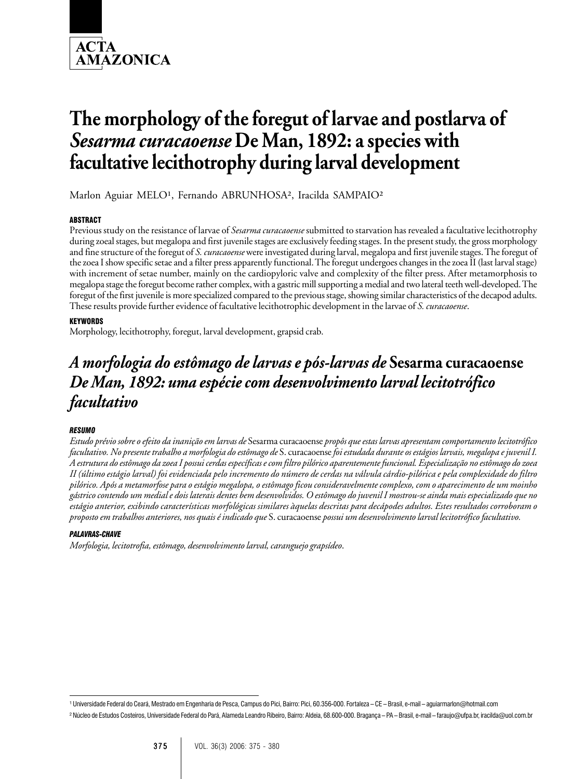

# **The morphology of the foregut of larvae and postlarva of** *Sesarma curacaoense* **De Man, 1892: a species with facultative lecithotrophy during larval development**

Marlon Aguiar MELO<sup>1</sup>, Fernando ABRUNHOSA<sup>2</sup>, Iracilda SAMPAIO<sup>2</sup>

# ABSTRACT

Previous study on the resistance of larvae of *Sesarma curacaoense* submitted to starvation has revealed a facultative lecithotrophy during zoeal stages, but megalopa and first juvenile stages are exclusively feeding stages. In the present study, the gross morphology and fine structure of the foregut of *S. curacaoense* were investigated during larval, megalopa and first juvenile stages. The foregut of the zoea I show specific setae and a filter press apparently functional. The foregut undergoes changes in the zoea II (last larval stage) with increment of setae number, mainly on the cardiopyloric valve and complexity of the filter press. After metamorphosis to megalopa stage the foregut become rather complex, with a gastric mill supporting a medial and two lateral teeth well-developed. The foregut of the first juvenile is more specialized compared to the previous stage, showing similar characteristics of the decapod adults. These results provide further evidence of facultative lecithotrophic development in the larvae of *S. curacaoense*.

# KEYWORDS

Morphology, lecithotrophy, foregut, larval development, grapsid crab.

# *A morfologia do estômago de larvas e pós-larvas de* **Sesarma curacaoense** *De Man, 1892: uma espécie com desenvolvimento larval lecitotrófico facultativo*

# *RESUMO*

*Estudo prévio sobre o efeito da inanição em larvas de* Sesarma curacaoense *propôs que estas larvas apresentam comportamento lecitotrófico facultativo. No presente trabalho a morfologia do estômago de* S. curacaoense *foi estudada durante os estágios larvais, megalopa e juvenil I. A estrutura do estômago da zoea I possui cerdas específicas e com filtro pilórico aparentemente funcional. Especialização no estômago do zoea II (último estágio larval) foi evidenciada pelo incremento do número de cerdas na válvula cárdio-pilórica e pela complexidade do filtro pilórico. Após a metamorfose para o estágio megalopa, o estômago ficou consideravelmente complexo, com o aparecimento de um moinho gástrico contendo um medial e dois laterais dentes bem desenvolvidos. O estômago do juvenil I mostrou-se ainda mais especializado que no estágio anterior, exibindo características morfológicas similares àquelas descritas para decápodes adultos. Estes resultados corroboram o proposto em trabalhos anteriores, nos quais é indicado que* S. curacaoense *possui um desenvolvimento larval lecitotrófico facultativo.*

#### *PALAVRAS-CHAVE*

*Morfologia, lecitotrofia, estômago, desenvolvimento larval, caranguejo grapsídeo*.

<sup>&</sup>lt;sup>1</sup> Universidade Federal do Ceará, Mestrado em Engenharia de Pesca, Campus do Pici, Bairro: Pici, 60,356-000, Fortaleza – CE – Brasil, e-mail – aguiarmarlon@hotmail.com

² Núcleo de Estudos Costeiros, Universidade Federal do Pará, Alameda Leandro Ribeiro, Bairro: Aldeia, 68.600-000. Bragança – PA – Brasil, e-mail – faraujo@ufpa.br, iracilda@uol.com.br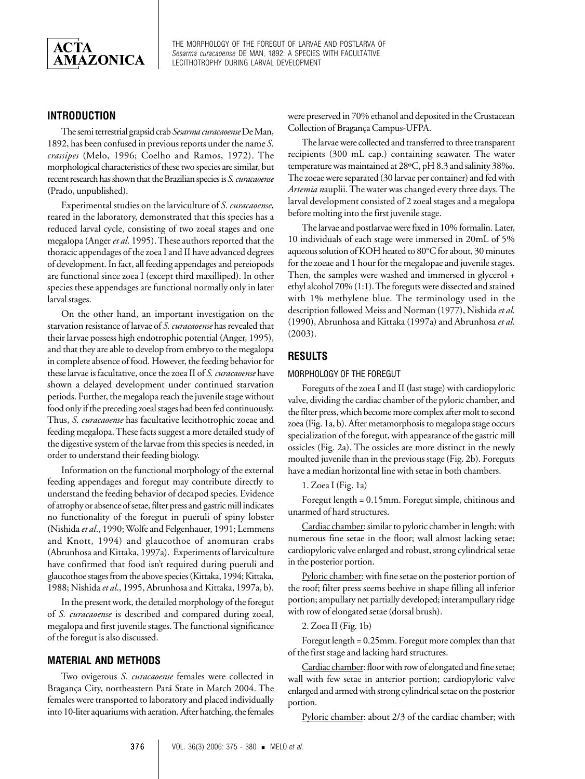

# **INTRODUCTION**

The semi terrestrial grapsid crab *Sesarma curacaoense* De Man, 1892, has been confused in previous reports under the name *S. crassipes* (Melo, 1996; Coelho and Ramos, 1972). The morphological characteristics of these two species are similar, but recent research has shown that the Brazilian species is *S. curacaoense* (Prado, unpublished).

Experimental studies on the larviculture of *S. curacaoense*, reared in the laboratory, demonstrated that this species has a reduced larval cycle, consisting of two zoeal stages and one megalopa (Anger *et al*. 1995). These authors reported that the thoracic appendages of the zoea I and II have advanced degrees of development. In fact, all feeding appendages and pereiopods are functional since zoea I (except third maxilliped). In other species these appendages are functional normally only in later larval stages.

On the other hand, an important investigation on the starvation resistance of larvae of *S. curacaoense* has revealed that their larvae possess high endotrophic potential (Anger, 1995), and that they are able to develop from embryo to the megalopa in complete absence of food. However, the feeding behavior for these larvae is facultative, once the zoea II of *S. curacaoense* have shown a delayed development under continued starvation periods. Further, the megalopa reach the juvenile stage without food only if the preceding zoeal stages had been fed continuously. Thus, *S. curacaoense* has facultative lecithotrophic zoeae and feeding megalopa. These facts suggest a more detailed study of the digestive system of the larvae from this species is needed, in order to understand their feeding biology.

Information on the functional morphology of the external feeding appendages and foregut may contribute directly to understand the feeding behavior of decapod species. Evidence of atrophy or absence of setae, filter press and gastric mill indicates no functionality of the foregut in pueruli of spiny lobster (Nishida *et al*., 1990; Wolfe and Felgenhauer, 1991; Lemmens and Knott, 1994) and glaucothoe of anomuran crabs (Abrunhosa and Kittaka, 1997a). Experiments of larviculture have confirmed that food isn't required during pueruli and glaucothoe stages from the above species (Kittaka, 1994; Kittaka, 1988; Nishida *et al*., 1995, Abrunhosa and Kittaka, 1997a, b).

In the present work, the detailed morphology of the foregut of *S. curacaoense* is described and compared during zoeal, megalopa and first juvenile stages. The functional significance of the foregut is also discussed.

#### **MATERIAL AND METHODS**

Two ovigerous *S. curacaoense* females were collected in Bragança City, northeastern Pará State in March 2004. The females were transported to laboratory and placed individually into 10-liter aquariums with aeration. After hatching, the females were preserved in 70% ethanol and deposited in the Crustacean Collection of Bragança Campus-UFPA.

The larvae were collected and transferred to three transparent recipients (300 mL cap.) containing seawater. The water temperature was maintained at 28ºC, pH 8.3 and salinity 38‰. The zoeae were separated (30 larvae per container) and fed with *Artemia n*auplii. The water was changed every three days. The larval development consisted of 2 zoeal stages and a megalopa before molting into the first juvenile stage.

The larvae and postlarvae were fixed in 10% formalin. Later, 10 individuals of each stage were immersed in 20mL of 5% aqueous solution of KOH heated to 80°C for about, 30 minutes for the zoeae and 1 hour for the megalopae and juvenile stages. Then, the samples were washed and immersed in glycerol + ethyl alcohol 70% (1:1). The foreguts were dissected and stained with 1% methylene blue. The terminology used in the description followed Meiss and Norman (1977), Nishida *et al.* (1990), Abrunhosa and Kittaka (1997a) and Abrunhosa *et al.* (2003).

### **RESULTS**

#### MORPHOLOGY OF THE FOREGUT

Foreguts of the zoea I and II (last stage) with cardiopyloric valve, dividing the cardiac chamber of the pyloric chamber, and the filter press, which become more complex after molt to second zoea (Fig. 1a, b). After metamorphosis to megalopa stage occurs specialization of the foregut, with appearance of the gastric mill ossicles (Fig. 2a). The ossicles are more distinct in the newly moulted juvenile than in the previous stage (Fig. 2b). Foreguts have a median horizontal line with setae in both chambers.

1. Zoea I (Fig. 1a)

Foregut length = 0.15mm. Foregut simple, chitinous and unarmed of hard structures.

Cardiac chamber: similar to pyloric chamber in length; with numerous fine setae in the floor; wall almost lacking setae; cardiopyloric valve enlarged and robust, strong cylindrical setae in the posterior portion.

Pyloric chamber: with fine setae on the posterior portion of the roof; filter press seems beehive in shape filling all inferior portion; ampullary net partially developed; interampullary ridge with row of elongated setae (dorsal brush).

2. Zoea II (Fig. 1b)

Foregut length = 0.25mm. Foregut more complex than that of the first stage and lacking hard structures.

Cardiac chamber: floor with row of elongated and fine setae; wall with few setae in anterior portion; cardiopyloric valve enlarged and armed with strong cylindrical setae on the posterior portion.

Pyloric chamber: about 2/3 of the cardiac chamber; with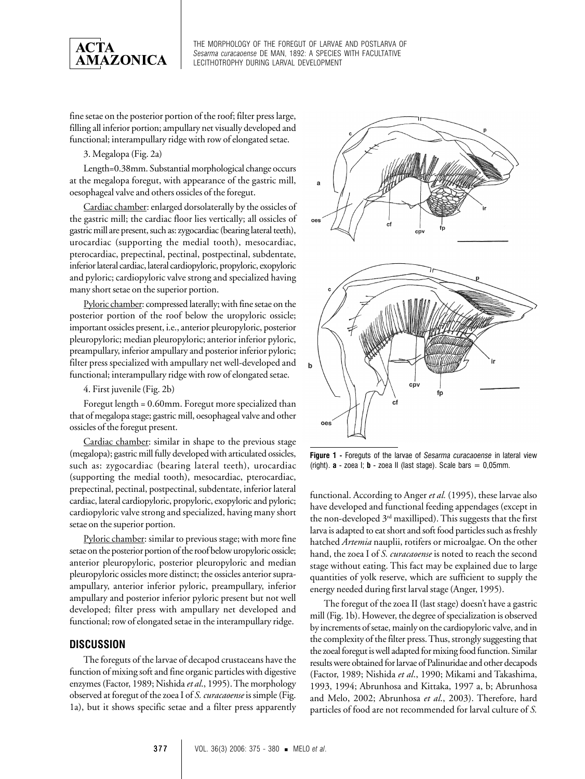

fine setae on the posterior portion of the roof; filter press large, filling all inferior portion; ampullary net visually developed and functional; interampullary ridge with row of elongated setae.

#### 3. Megalopa (Fig. 2a)

Length=0.38mm. Substantial morphological change occurs at the megalopa foregut, with appearance of the gastric mill, oesophageal valve and others ossicles of the foregut.

Cardiac chamber: enlarged dorsolaterally by the ossicles of the gastric mill; the cardiac floor lies vertically; all ossicles of gastric mill are present, such as: zygocardiac (bearing lateral teeth), urocardiac (supporting the medial tooth), mesocardiac, pterocardiac, prepectinal, pectinal, postpectinal, subdentate, inferior lateral cardiac, lateral cardiopyloric, propyloric, exopyloric and pyloric; cardiopyloric valve strong and specialized having many short setae on the superior portion.

Pyloric chamber: compressed laterally; with fine setae on the posterior portion of the roof below the uropyloric ossicle; important ossicles present, i.e., anterior pleuropyloric, posterior pleuropyloric; median pleuropyloric; anterior inferior pyloric, preampullary, inferior ampullary and posterior inferior pyloric; filter press specialized with ampullary net well-developed and functional; interampullary ridge with row of elongated setae.

4. First juvenile (Fig. 2b)

Foregut length = 0.60mm. Foregut more specialized than that of megalopa stage; gastric mill, oesophageal valve and other ossicles of the foregut present.

Cardiac chamber: similar in shape to the previous stage (megalopa); gastric mill fully developed with articulated ossicles, such as: zygocardiac (bearing lateral teeth), urocardiac (supporting the medial tooth), mesocardiac, pterocardiac, prepectinal, pectinal, postpectinal, subdentate, inferior lateral cardiac, lateral cardiopyloric, propyloric, exopyloric and pyloric; cardiopyloric valve strong and specialized, having many short setae on the superior portion.

Pyloric chamber: similar to previous stage; with more fine setae on the posterior portion of the roof below uropyloric ossicle; anterior pleuropyloric, posterior pleuropyloric and median pleuropyloric ossicles more distinct; the ossicles anterior supraampullary, anterior inferior pyloric, preampullary, inferior ampullary and posterior inferior pyloric present but not well developed; filter press with ampullary net developed and functional; row of elongated setae in the interampullary ridge.

# **DISCUSSION**

The foreguts of the larvae of decapod crustaceans have the function of mixing soft and fine organic particles with digestive enzymes (Factor, 1989; Nishida *et al*., 1995). The morphology observed at foregut of the zoea I of *S. curacaoense* is simple (Fig. 1a), but it shows specific setae and a filter press apparently



**Figure 1 -** Foreguts of the larvae of *Sesarma curacaoense* in lateral view (right).  $\mathbf{a}$  - zoea I;  $\mathbf{b}$  - zoea II (last stage). Scale bars = 0,05mm.

functional. According to Anger *et al.* (1995), these larvae also have developed and functional feeding appendages (except in the non-developed  $3<sup>rd</sup>$  maxilliped). This suggests that the first larva is adapted to eat short and soft food particles such as freshly hatched *Artemia* nauplii, rotifers or microalgae. On the other hand, the zoea I of *S. curacaoense* is noted to reach the second stage without eating. This fact may be explained due to large quantities of yolk reserve, which are sufficient to supply the energy needed during first larval stage (Anger, 1995).

The foregut of the zoea II (last stage) doesn't have a gastric mill (Fig. 1b). However, the degree of specialization is observed by increments of setae, mainly on the cardiopyloric valve, and in the complexity of the filter press. Thus, strongly suggesting that the zoeal foregut is well adapted for mixing food function. Similar results were obtained for larvae of Palinuridae and other decapods (Factor, 1989; Nishida *et al*., 1990; Mikami and Takashima, 1993, 1994; Abrunhosa and Kittaka, 1997 a, b; Abrunhosa and Melo, 2002; Abrunhosa *et al*., 2003). Therefore, hard particles of food are not recommended for larval culture of *S.*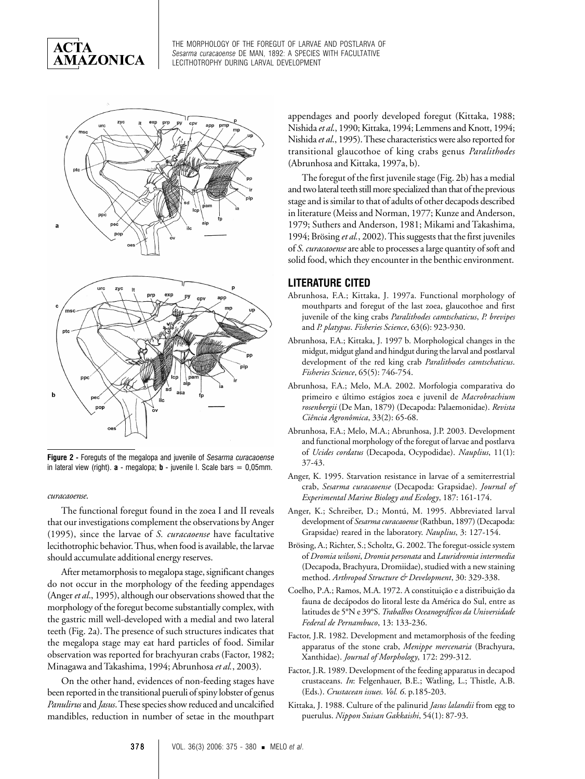





**Figure 2 -** Foreguts of the megalopa and juvenile of *Sesarma curacaoense* in lateral view (right). **a** - megalopa; **b** - juvenile I. Scale bars = 0,05mm.

#### *curacaoense*.

The functional foregut found in the zoea I and II reveals that our investigations complement the observations by Anger (1995), since the larvae of *S. curacaoense* have facultative lecithotrophic behavior. Thus, when food is available, the larvae should accumulate additional energy reserves.

After metamorphosis to megalopa stage, significant changes do not occur in the morphology of the feeding appendages (Anger *et al*., 1995), although our observations showed that the morphology of the foregut become substantially complex, with the gastric mill well-developed with a medial and two lateral teeth (Fig. 2a). The presence of such structures indicates that the megalopa stage may eat hard particles of food. Similar observation was reported for brachyuran crabs (Factor, 1982; Minagawa and Takashima, 1994; Abrunhosa *et al.*, 2003).

On the other hand, evidences of non-feeding stages have been reported in the transitional pueruli of spiny lobster of genus *Panulirus* and *Jasus*. These species show reduced and uncalcified mandibles, reduction in number of setae in the mouthpart appendages and poorly developed foregut (Kittaka, 1988; Nishida *et al*., 1990; Kittaka, 1994; Lemmens and Knott, 1994; Nishida *et al*., 1995). These characteristics were also reported for transitional glaucothoe of king crabs genus *Paralithodes* (Abrunhosa and Kittaka, 1997a, b).

The foregut of the first juvenile stage (Fig. 2b) has a medial and two lateral teeth still more specialized than that of the previous stage and is similar to that of adults of other decapods described in literature (Meiss and Norman, 1977; Kunze and Anderson, 1979; Suthers and Anderson, 1981; Mikami and Takashima, 1994; Brösing *et al.*, 2002). This suggests that the first juveniles of *S. curacaoense* are able to processes a large quantity of soft and solid food, which they encounter in the benthic environment.

## **LITERATURE CITED**

- Abrunhosa, F.A.; Kittaka, J. 1997a. Functional morphology of mouthparts and foregut of the last zoea, glaucothoe and first juvenile of the king crabs *Paralithodes camtschaticus*, *P. brevipes* and *P. platypus*. *Fisheries Science*, 63(6): 923-930.
- Abrunhosa, F.A.; Kittaka, J. 1997 b. Morphological changes in the midgut, midgut gland and hindgut during the larval and postlarval development of the red king crab *Paralithodes camtschaticus*. *Fisheries Science*, 65(5): 746-754.
- Abrunhosa, F.A.; Melo, M.A. 2002. Morfologia comparativa do primeiro e último estágios zoea e juvenil de *Macrobrachium rosenbergii* (De Man, 1879) (Decapoda: Palaemonidae). *Revista Ciência Agronômica*, 33(2): 65-68.
- Abrunhosa, F.A.; Melo, M.A.; Abrunhosa, J.P. 2003. Development and functional morphology of the foregut of larvae and postlarva of *Ucides cordatus* (Decapoda, Ocypodidae). *Nauplius*, 11(1): 37-43.
- Anger, K. 1995. Starvation resistance in larvae of a semiterrestrial crab, *Sesarma curacaoense* (Decapoda: Grapsidae). *Journal of Experimental Marine Biology and Ecology*, 187: 161-174.
- Anger, K.; Schreiber, D.; Montú, M. 1995. Abbreviated larval development of *Sesarma curacaoense* (Rathbun, 1897) (Decapoda: Grapsidae) reared in the laboratory. *Nauplius*, 3: 127-154.
- Brösing, A.; Richter, S.; Scholtz, G. 2002. The foregut-ossicle system of *Dromia wilsoni*, *Dromia personata* and *Lauridromia intermedia* (Decapoda, Brachyura, Dromiidae), studied with a new staining method. *Arthropod Structure & Development*, 30: 329-338.
- Coelho, P.A.; Ramos, M.A. 1972. A constituição e a distribuição da fauna de decápodos do litoral leste da América do Sul, entre as latitudes de 5°N e 39°S. *Trabalhos Oceanográficos da Universidade Federal de Pernambuco*, 13: 133-236.
- Factor, J.R. 1982. Development and metamorphosis of the feeding apparatus of the stone crab, *Menippe mercenaria* (Brachyura, Xanthidae). *Journal of Morphology*, 172: 299-312.
- Factor, J.R. 1989. Development of the feeding apparatus in decapod crustaceans. *In*: Felgenhauer, B.E.; Watling, L.; Thistle, A.B. (Eds.). *Crustacean issues. Vol. 6*. p.185-203.
- Kittaka, J. 1988. Culture of the palinurid *Jasus lalandii* from egg to puerulus. *Nippon Suisan Gakkaishi*, 54(1): 87-93.